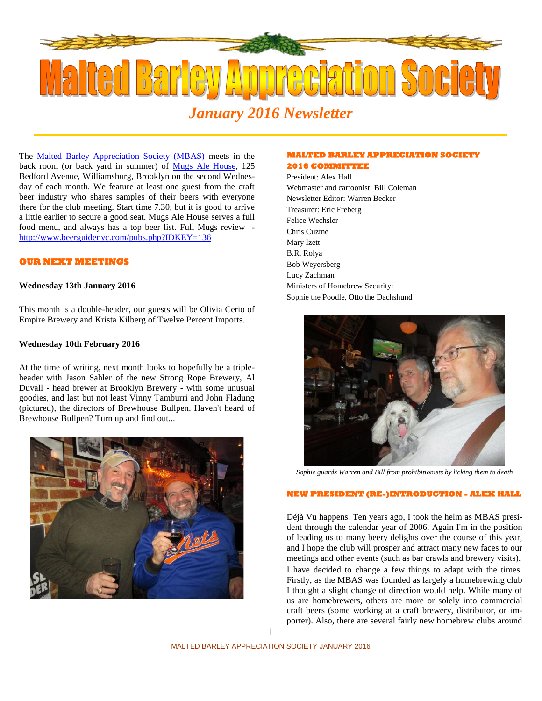

# *January 2016 Newsletter*

The **Malted Barley Appreciation Society (MBAS)** meets in the back room (or back yard in summer) of Mugs Ale House, 125 Bedford Avenue, Williamsburg, Brooklyn on the second Wednesday of each month. We feature at least one guest from the craft beer industry who shares samples of their beers with everyone there for the club meeting. Start time 7.30, but it is good to arrive a little earlier to secure a good seat. Mugs Ale House serves a full food menu, and always has a top beer list. Full Mugs review http://www.beerguidenyc.com/pubs.php?IDKEY=136

#### **OUR NEXT MEETINGS**

#### **Wednesday 13th January 2016**

This month is a double-header, our guests will be Olivia Cerio of Empire Brewery and Krista Kilberg of Twelve Percent Imports.

#### **Wednesday 10th February 2016**

At the time of writing, next month looks to hopefully be a triple header with Jason Sahler of the new Strong Rope Brewery, Al Duvall - head brewer at Brooklyn Brewery - with some unusual goodies, and last but not least Vinny Tamburri and John Fladung (pictured), the directors of Brewhouse Bullpen. Haven't heard of Brewhouse Bullpen? Turn up and find out...



# **MALTED BARLEY APPRECIATION SOCIETY**

#### **2016 COMMITTEE**

President: Alex Hall Webmaster and cartoonist: Bill Coleman Newsletter Editor: Warren Becker Treasurer: Eric Freberg Felice Wechsler Chris Cuzme Mary Izett B.R. Rolya Bob Weyersberg Lucy Zachman Ministers of Homebrew Security: Sophie the Poodle, Otto the Dachshund



*Sophie guards Warren and Bill from prohibitionists by licking them to death*

#### **NEW PRESIDENT (RE-)INTRODUCTION - ALEX HALL**

Déjà Vu happens. Ten years ago, I took the helm as MBAS president through the calendar year of 2006. Again I'm in the position of leading us to many beery delights over the course of this year, and I hope the club will prosper and attract many new faces to our meetings and other events (such as bar crawls and brewery visits).

I have decided to change a few things to adapt with the times. Firstly, as the MBAS was founded as largely a homebrewing club I thought a slight change of direction would help. While many of us are homebrewers, others are more or solely into commercial craft beers (some working at a craft brewery, distributor, or importer). Also, there are several fairly new homebrew clubs around

1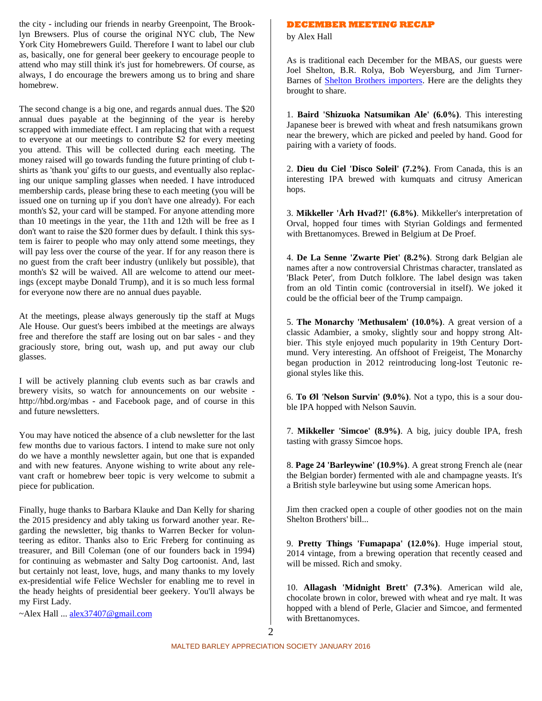the city - including our friends in nearby Greenpoint, The Brooklyn Brewsers. Plus of course the original NYC club, The New York City Homebrewers Guild. Therefore I want to label our club as, basically, one for general beer geekery to encourage people to attend who may still think it's just for homebrewers. Of course, as always, I do encourage the brewers among us to bring and share homebrew.

The second change is a big one, and regards annual dues. The \$20 annual dues payable at the beginning of the year is hereby scrapped with immediate effect. I am replacing that with a request to everyone at our meetings to contribute \$2 for every meeting you attend. This will be collected during each meeting. The money raised will go towards funding the future printing of club t shirts as 'thank you' gifts to our guests, and eventually also replacing our unique sampling glasses when needed. I have introduced membership cards, please bring these to each meeting (you will be issued one on turning up if you don't have one already). For each month's \$2, your card will be stamped. For anyone attending more than 10 meetings in the year, the 11th and 12th will be free as I don't want to raise the \$20 former dues by default. I think this system is fairer to people who may only attend some meetings, they will pay less over the course of the year. If for any reason there is no guest from the craft beer industry (unlikely but possible), that month's \$2 will be waived. All are welcome to attend our meetings (except maybe Donald Trump), and it is so much less formal for everyone now there are no annual dues payable.

At the meetings, please always generously tip the staff at Mugs Ale House. Our guest's beers imbibed at the meetings are always free and therefore the staff are losing out on bar sales - and they graciously store, bring out, wash up, and put away our club glasses.

I will be actively planning club events such as bar crawls and brewery visits, so watch for announcements on our website http://hbd.org/mbas - and Facebook page, and of course in this and future newsletters.

You may have noticed the absence of a club newsletter for the last few months due to various factors. I intend to make sure not only do we have a monthly newsletter again, but one that is expanded and with new features. Anyone wishing to write about any relevant craft or homebrew beer topic is very welcome to submit a piece for publication.

Finally, huge thanks to Barbara Klauke and Dan Kelly for sharing the 2015 presidency and ably taking us forward another year. Regarding the newsletter, big thanks to Warren Becker for volunteering as editor. Thanks also to Eric Freberg for continuing as treasurer, and Bill Coleman (one of our founders back in 1994) for continuing as webmaster and Salty Dog cartoonist. And, last but certainly not least, love, hugs, and many thanks to my lovely ex-presidential wife Felice Wechsler for enabling me to revel in the heady heights of presidential beer geekery. You'll always be my First Lady.

~Alex Hall ... alex37407@gmail.com

#### **DECEMBER MEETING RECAP**

by Alex Hall

As is traditional each December for the MBAS, our guests were Joel Shelton, B.R. Rolya, Bob Weyersburg, and Jim Turner- Barnes of Shelton Brothers importers. Here are the delights they brought to share.

1. **Baird 'Shizuoka Natsumikan Ale' (6.0%)**. This interesting Japanese beer is brewed with wheat and fresh natsumikans grown near the brewery, which are picked and peeled by hand. Good for pairing with a variety of foods.

2. **Dieu du Ciel 'Disco Soleil' (7.2%)**. From Canada, this is an interesting IPA brewed with kumquats and citrusy American hops.

3. **Mikkeller 'Årh Hvad?!' (6.8%)**. Mikkeller's interpretation of Orval, hopped four times with Styrian Goldings and fermented with Brettanomyces. Brewed in Belgium at De Proef.

4. **De La Senne 'Zwarte Piet' (8.2%)**. Strong dark Belgian ale names after a now controversial Christmas character, translated as 'Black Peter', from Dutch folklore. The label design was taken from an old Tintin comic (controversial in itself). We joked it could be the official beer of the Trump campaign.

5. **The Monarchy 'Methusalem' (10.0%)**. A great version of a classic Adambier, a smoky, slightly sour and hoppy strong Altbier. This style enjoyed much popularity in 19th Century Dortmund. Very interesting. An offshoot of Freigeist, The Monarchy began production in 2012 reintroducing long-lost Teutonic regional styles like this.

6. **To Øl** *'***Nelson Survin' (9.0%)**. Not a typo, this is a sour double IPA hopped with Nelson Sauvin.

7. **Mikkeller 'Simcoe' (8.9%)**. A big, juicy double IPA, fresh tasting with grassy Simcoe hops.

8. **Page 24 'Barleywine' (10.9%)**. A great strong French ale (near the Belgian border) fermented with ale and champagne yeasts. It's a British style barleywine but using some American hops.

Jim then cracked open a couple of other goodies not on the main Shelton Brothers' bill...

9. **Pretty Things 'Fumapapa' (12.0%)**. Huge imperial stout, 2014 vintage, from a brewing operation that recently ceased and will be missed. Rich and smoky.

10. **Allagash 'Midnight Brett' (7.3%)**. American wild ale, chocolate brown in color, brewed with wheat and rye malt. It was hopped with a blend of Perle, Glacier and Simcoe, and fermented with Brettanomyces.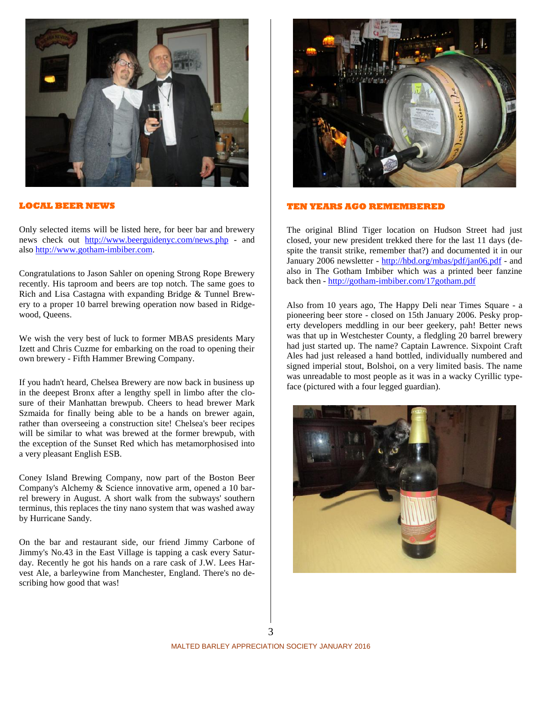

#### **LOCAL BEER NEWS**

Only selected items will be listed here, for beer bar and brewery news check out http://www.beerguidenyc.com/news.php - and also http://www.gotham-imbiber.com.

Congratulations to Jason Sahler on opening Strong Rope Brewery recently. His taproom and beers are top notch. The same goes to Rich and Lisa Castagna with expanding Bridge & Tunnel Brewery to a proper 10 barrel brewing operation now based in Ridgewood, Queens.

We wish the very best of luck to former MBAS presidents Mary Izett and Chris Cuzme for embarking on the road to opening their own brewery - Fifth Hammer Brewing Company.

If you hadn't heard, Chelsea Brewery are now back in business up in the deepest Bronx after a lengthy spell in limbo after the closure of their Manhattan brewpub. Cheers to head brewer Mark Szmaida for finally being able to be a hands on brewer again, rather than overseeing a construction site! Chelsea's beer recipes will be similar to what was brewed at the former brewpub, with the exception of the Sunset Red which has metamorphosised into a very pleasant English ESB.

Coney Island Brewing Company, now part of the Boston Beer Company's Alchemy & Science innovative arm, opened a 10 barrel brewery in August. A short walk from the subways' southern terminus, this replaces the tiny nano system that was washed away by Hurricane Sandy.

On the bar and restaurant side, our friend Jimmy Carbone of Jimmy's No.43 in the East Village is tapping a cask every Saturday. Recently he got his hands on a rare cask of J.W. Lees Harvest Ale, a barleywine from Manchester, England. There's no describing how good that was!



#### **TEN YEARS AGO REMEMBERED**

The original Blind Tiger location on Hudson Street had just closed, your new president trekked there for the last 11 days (despite the transit strike, remember that?) and documented it in our January 2006 newsletter - http://hbd.org/mbas/pdf/jan06.pdf - and also in The Gotham Imbiber which was a printed beer fanzine back then - http://gotham-imbiber.com/17gotham.pdf

Also from 10 years ago, The Happy Deli near Times Square - a pioneering beer store - closed on 15th January 2006. Pesky property developers meddling in our beer geekery, pah! Better news was that up in Westchester County, a fledgling 20 barrel brewery had just started up. The name? Captain Lawrence. Sixpoint Craft Ales had just released a hand bottled, individually numbered and signed imperial stout, Bolshoi, on a very limited basis. The name was unreadable to most people as it was in a wacky Cyrillic typeface (pictured with a four legged guardian).



3